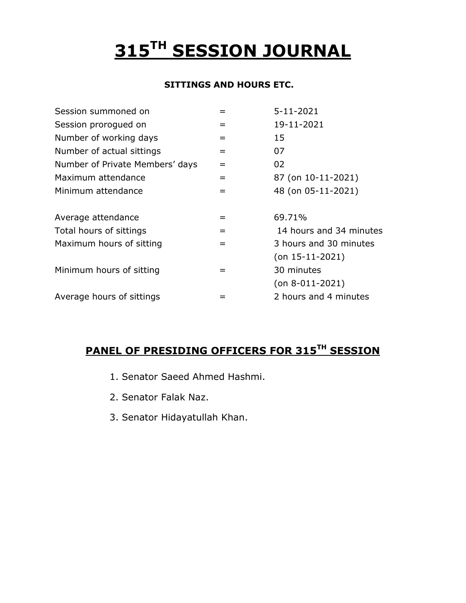# **315TH SESSION JOURNAL**

#### **SITTINGS AND HOURS ETC.**

| Session summoned on             |     | 5-11-2021               |
|---------------------------------|-----|-------------------------|
| Session prorogued on            | $=$ | 19-11-2021              |
| Number of working days          | $=$ | 15                      |
| Number of actual sittings       | $=$ | 07                      |
| Number of Private Members' days | $=$ | 02                      |
| Maximum attendance              | $=$ | 87 (on 10-11-2021)      |
| Minimum attendance              | =   | 48 (on 05-11-2021)      |
|                                 |     |                         |
| Average attendance              | $=$ | 69.71%                  |
| Total hours of sittings         | $=$ | 14 hours and 34 minutes |
| Maximum hours of sitting        | $=$ | 3 hours and 30 minutes  |
|                                 |     | $($ on 15-11-2021)      |
| Minimum hours of sitting        | =   | 30 minutes              |
|                                 |     | $($ on 8-011-2021)      |
| Average hours of sittings       |     | 2 hours and 4 minutes   |
|                                 |     |                         |

## **PANEL OF PRESIDING OFFICERS FOR 315 TH SESSION**

- 1. Senator Saeed Ahmed Hashmi.
- 2. Senator Falak Naz.
- 3. Senator Hidayatullah Khan.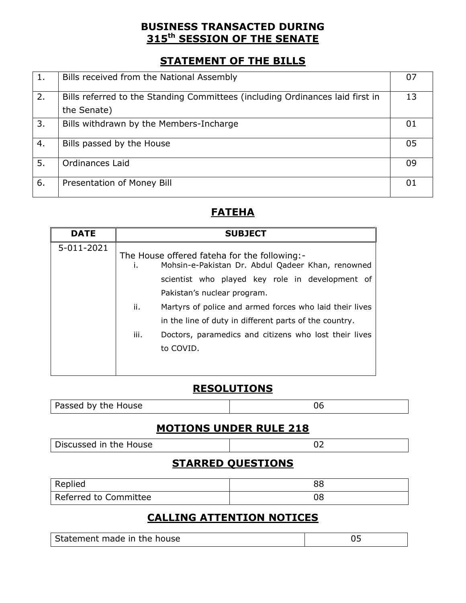## **BUSINESS TRANSACTED DURING 315th SESSION OF THE SENATE**

## **STATEMENT OF THE BILLS**

| 1. | Bills received from the National Assembly                                     | 07 |
|----|-------------------------------------------------------------------------------|----|
| 2. | Bills referred to the Standing Committees (including Ordinances laid first in | 13 |
|    | the Senate)                                                                   |    |
| 3. | Bills withdrawn by the Members-Incharge                                       | 01 |
| 4. | Bills passed by the House                                                     | 05 |
| 5. | Ordinances Laid                                                               | 09 |
| 6. | Presentation of Money Bill                                                    | 01 |

## **FATEHA**

| <b>DATE</b> | <b>SUBJECT</b>                                                                                                                                                                                                                                                                                                                                                                                      |
|-------------|-----------------------------------------------------------------------------------------------------------------------------------------------------------------------------------------------------------------------------------------------------------------------------------------------------------------------------------------------------------------------------------------------------|
| 5-011-2021  | The House offered fateha for the following:-<br>Mohsin-e-Pakistan Dr. Abdul Qadeer Khan, renowned<br>Τ.<br>scientist who played key role in development of<br>Pakistan's nuclear program.<br>ii.<br>Martyrs of police and armed forces who laid their lives<br>in the line of duty in different parts of the country.<br>iii.<br>Doctors, paramedics and citizens who lost their lives<br>to COVID. |
|             |                                                                                                                                                                                                                                                                                                                                                                                                     |

# **RESOLUTIONS**

| Passed by the House |
|---------------------|
|---------------------|

## **MOTIONS UNDER RULE 218**

# **STARRED QUESTIONS**

| Replied               | n r<br>ပပ |
|-----------------------|-----------|
| Referred to Committee | UC        |

# **CALLING ATTENTION NOTICES**

| Statement made in the house |
|-----------------------------|
|-----------------------------|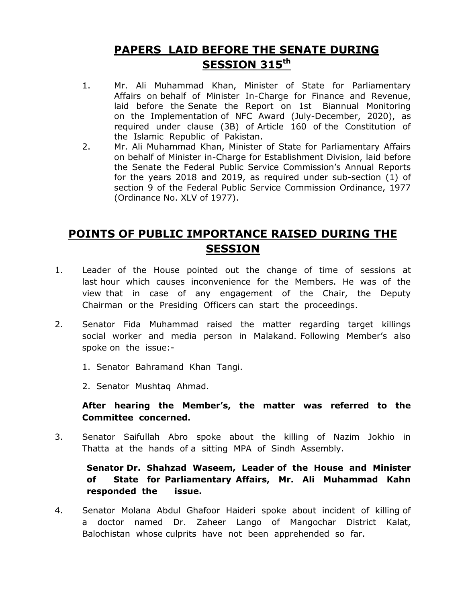# **PAPERS LAID BEFORE THE SENATE DURING SESSION 315th**

- 1. Mr. Ali Muhammad Khan, Minister of State for Parliamentary Affairs on behalf of Minister In-Charge for Finance and Revenue, laid before the Senate the Report on 1st Biannual Monitoring on the Implementation of NFC Award (July-December, 2020), as required under clause (3B) of Article 160 of the Constitution of the Islamic Republic of Pakistan.
- 2. Mr. Ali Muhammad Khan, Minister of State for Parliamentary Affairs on behalf of Minister in-Charge for Establishment Division, laid before the Senate the Federal Public Service Commission's Annual Reports for the years 2018 and 2019, as required under sub-section (1) of section 9 of the Federal Public Service Commission Ordinance, 1977 (Ordinance No. XLV of 1977).

# **POINTS OF PUBLIC IMPORTANCE RAISED DURING THE SESSION**

- 1. Leader of the House pointed out the change of time of sessions at last hour which causes inconvenience for the Members. He was of the view that in case of any engagement of the Chair, the Deputy Chairman or the Presiding Officers can start the proceedings.
- 2. Senator Fida Muhammad raised the matter regarding target killings social worker and media person in Malakand. Following Member's also spoke on the issue:-
	- 1. Senator Bahramand Khan Tangi.
	- 2. Senator Mushtaq Ahmad.

#### **After hearing the Member's, the matter was referred to the Committee concerned.**

3. Senator Saifullah Abro spoke about the killing of Nazim Jokhio in Thatta at the hands of a sitting MPA of Sindh Assembly.

#### **Senator Dr. Shahzad Waseem, Leader of the House and Minister of State for Parliamentary Affairs, Mr. Ali Muhammad Kahn responded the issue.**

4. Senator Molana Abdul Ghafoor Haideri spoke about incident of killing of a doctor named Dr. Zaheer Lango of Mangochar District Kalat, Balochistan whose culprits have not been apprehended so far.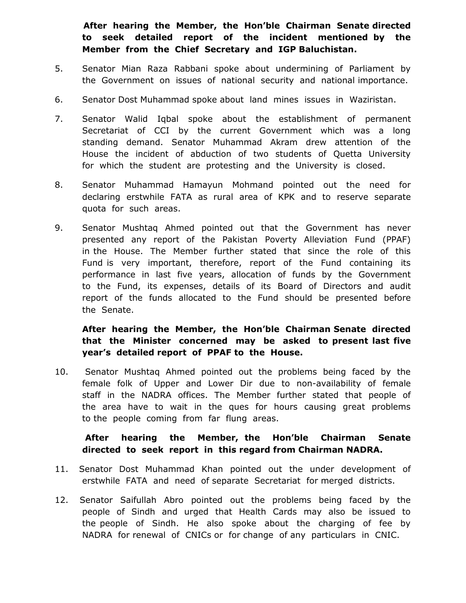**After hearing the Member, the Hon'ble Chairman Senate directed to seek detailed report of the incident mentioned by the Member from the Chief Secretary and IGP Baluchistan.**

- 5. Senator Mian Raza Rabbani spoke about undermining of Parliament by the Government on issues of national security and national importance.
- 6. Senator Dost Muhammad spoke about land mines issues in Waziristan.
- 7. Senator Walid Iqbal spoke about the establishment of permanent Secretariat of CCI by the current Government which was a long standing demand. Senator Muhammad Akram drew attention of the House the incident of abduction of two students of Quetta University for which the student are protesting and the University is closed.
- 8. Senator Muhammad Hamayun Mohmand pointed out the need for declaring erstwhile FATA as rural area of KPK and to reserve separate quota for such areas.
- 9. Senator Mushtaq Ahmed pointed out that the Government has never presented any report of the Pakistan Poverty Alleviation Fund (PPAF) in the House. The Member further stated that since the role of this Fund is very important, therefore, report of the Fund containing its performance in last five years, allocation of funds by the Government to the Fund, its expenses, details of its Board of Directors and audit report of the funds allocated to the Fund should be presented before the Senate.

#### **After hearing the Member, the Hon'ble Chairman Senate directed that the Minister concerned may be asked to present last five year's detailed report of PPAF to the House.**

10. Senator Mushtaq Ahmed pointed out the problems being faced by the female folk of Upper and Lower Dir due to non-availability of female staff in the NADRA offices. The Member further stated that people of the area have to wait in the ques for hours causing great problems to the people coming from far flung areas.

#### **After hearing the Member, the Hon'ble Chairman Senate directed to seek report in this regard from Chairman NADRA.**

- 11. Senator Dost Muhammad Khan pointed out the under development of erstwhile FATA and need of separate Secretariat for merged districts.
- 12. Senator Saifullah Abro pointed out the problems being faced by the people of Sindh and urged that Health Cards may also be issued to the people of Sindh. He also spoke about the charging of fee by NADRA for renewal of CNICs or for change of any particulars in CNIC.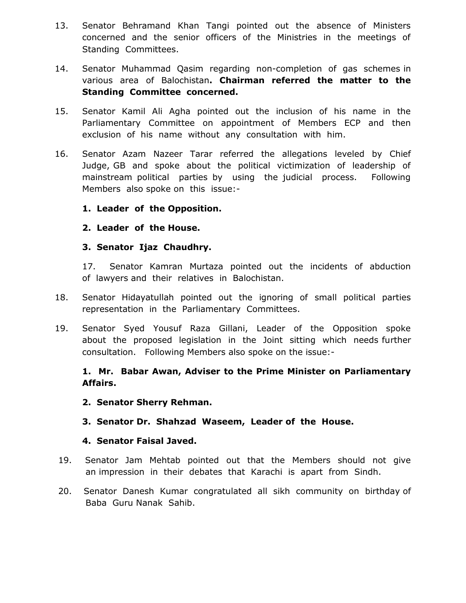- 13. Senator Behramand Khan Tangi pointed out the absence of Ministers concerned and the senior officers of the Ministries in the meetings of Standing Committees.
- 14. Senator Muhammad Qasim regarding non-completion of gas schemes in various area of Balochistan**. Chairman referred the matter to the Standing Committee concerned.**
- 15. Senator Kamil Ali Agha pointed out the inclusion of his name in the Parliamentary Committee on appointment of Members ECP and then exclusion of his name without any consultation with him.
- 16. Senator Azam Nazeer Tarar referred the allegations leveled by Chief Judge, GB and spoke about the political victimization of leadership of mainstream political parties by using the judicial process. Following Members also spoke on this issue:-

#### **1. Leader of the Opposition.**

#### **2. Leader of the House.**

#### **3. Senator Ijaz Chaudhry.**

17. Senator Kamran Murtaza pointed out the incidents of abduction of lawyers and their relatives in Balochistan.

- 18. Senator Hidayatullah pointed out the ignoring of small political parties representation in the Parliamentary Committees.
- 19. Senator Syed Yousuf Raza Gillani, Leader of the Opposition spoke about the proposed legislation in the Joint sitting which needs further consultation. Following Members also spoke on the issue:-

#### **1. Mr. Babar Awan, Adviser to the Prime Minister on Parliamentary Affairs.**

#### **2. Senator Sherry Rehman.**

#### **3. Senator Dr. Shahzad Waseem, Leader of the House.**

#### **4. Senator Faisal Javed.**

- 19. Senator Jam Mehtab pointed out that the Members should not give an impression in their debates that Karachi is apart from Sindh.
- 20. Senator Danesh Kumar congratulated all sikh community on birthday of Baba Guru Nanak Sahib.